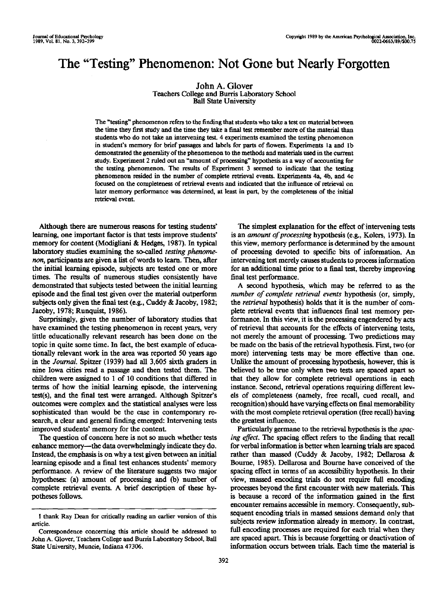# The "Testing" Phenomenon: Not Gone but Nearly Forgotten

John A. Glover Teachers College and Burris Laboratory School Ball State University

The "testing" phenomenon refers to the finding that students who take a test on material between the time they first study and the time they take a final test remember more of the material than students who do not take an intervening test. 4 experiments examined the testing phenomenon in student's memory for brief passages and labels for parts of flowers. Experiments la and lb demonstrated the generality of the phenomenon to the methods and materials used in the current study. Experiment 2 ruled out an "amount of processing" hypothesis as a way of accounting for the testing phenomenon. The results of Experiment 3 seemed to indicate that the testing phenomenon resided in the number of complete retrieval events. Experiments 4a, 4b, and 4c focused on the completeness of retrieval events and indicated that the influence of retrieval on later memory performance was determined, at least in part, by the completeness of the initial retrieval event.

Although there are numerous reasons for testing students' learning, one important factor is that tests improve students' memory for content (Modigliani & Hedges, 1987). In typical laboratory studies examining the so-called *testing phenomenon,* participants are given a list of words to learn. Then, after the initial learning episode, subjects are tested one or more times. The results of numerous studies consistently have demonstrated that subjects tested between the initial learning episode and the final test given over the material outperform subjects only given the final test (e.g., Cuddy & Jacoby, 1982; Jacoby, 1978; Runquist, 1986).

Surprisingly, given the number of laboratory studies that have examined the testing phenomenon in recent years, very little educationally relevant research has been done on the topic in quite some time. In fact, the best example of educationally relevant work in the area was reported 50 years ago in the *Journal.* Spitzer (1939) had all 3,605 sixth graders in nine Iowa cities read a passage and then tested them. The children were assigned to 1 of 10 conditions that differed in terms of how the initial learning episode, the intervening test(s), and the final test were arranged. Although Spitzer's outcomes were complex and the statistical analyses were less sophisticated than would be the case in contemporary research, a clear and general finding emerged: Intervening tests improved students\* memory for the content.

The question of concern here is not so much whether tests enhance memory—the data overwhelmingly indicate they do. Instead, the emphasis is on why a test given between an initial learning episode and a final test enhances students' memory performance. A review of the literature suggests two major hypotheses: (a) amount of processing and (b) number of complete retrieval events. A brief description of these hypotheses follows.

The simplest explanation for the effect of intervening tests is an *amount of processing* hypothesis (e.g., Kolers, 1973). In this view, memory performance is determined by the amount of processing devoted to specific bits of information. An intervening test merely causes students to process information for an additional time prior to a final test, thereby improving final test performance.

A second hypothesis, which may be referred to as the *number of complete retrieval events* hypothesis (or, simply, the *retrieval* hypothesis) holds that it is the number of complete retrieval events that influences final test memory performance. In this view, it is the processing engendered by acts of retrieval that accounts for the effects of intervening tests, not merely the amount of processing. Two predictions may be made on the basis of the retrieval hypothesis. First, two (or more) intervening tests may be more effective than one. Unlike the amount of processing hypothesis, however, this is believed to be true only when two tests are spaced apart so that they allow for complete retrieval operations in each instance. Second, retrieval operations requiring different levels of completeness (namely, free recall, cued recall, and recognition) should have varying effects on final memorability with the most complete retrieval operation (free recall) having the greatest influence.

Particularly germane to the retrieval hypothesis is the *spacing effect.* The spacing effect refers to the finding that recall for verbal information is better when learning trials are spaced rather than massed (Cuddy & Jacoby, 1982; Dellarosa & Bourne, 1985). Dellarosa and Bourne have conceived of the spacing effect in terms of an accessibility hypothesis. In their view, massed encoding trials do not require full encoding processes beyond the first encounter with new materials. This is because a record of the information gained in the first encounter remains accessible in memory. Consequently, subsequent encoding trials in massed sessions demand only that subjects review information already in memory. In contrast, full encoding processes are required for each trial when they are spaced apart. This is because forgetting or deactivation of information occurs between trials. Each time the material is

I thank Ray Dean for critically reading an earlier version of this article.

Correspondence concerning this article should be addressed to John A, Glover, Teachers College and Bums Laboratory School, Ball State University, Muncie, Indiana 47306.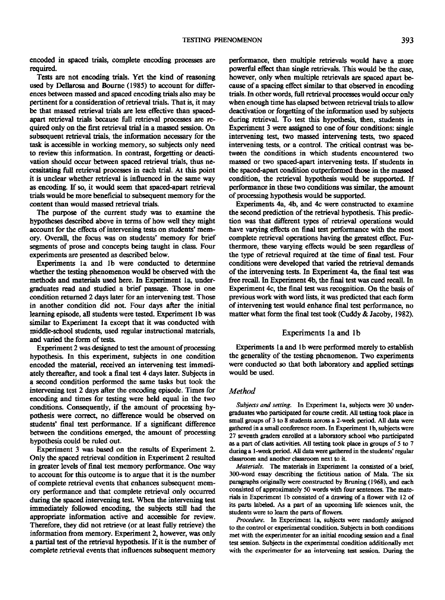encoded in spaced trials, complete encoding processes are required.

Tests are not encoding trials. Yet the kind of reasoning used by Dellarosa and Bourne (1985) to account for differences between massed and spaced encoding trials also may be pertinent for a consideration of retrieval trials. That is, it may be that massed retrieval trials are less effective than spacedapart retrieval trials because full retrieval processes are required only on the first retrieval trial in a massed session. On subsequent retrieval trials, the information necessary for the task is accessible in working memory, so subjects only need to review this information. In contrast, forgetting or deactivation should occur between spaced retrieval trials, thus necessitating full retrieval processes in each trial. At this point it is unclear whether retrieval is influenced in the same way as encoding. If so, it would seem that spaced-apart retrieval trials would be more beneficial to subsequent memory for the content than would massed retrieval trials.

The purpose of the current study was to examine the hypotheses described above in terms of how well they might account for the effects of intervening tests on students' memory. Overall, the focus was on students' memory for brief segments of prose and concepts being taught in class. Four experiments are presented as described below.

Experiments la and lb were conducted to determine whether the testing phenomenon would be observed with the methods and materials used here. In Experiment la, undergraduates read and studied a brief passage. Those in one condition returned 2 days later for an intervening test. Those in another condition did not Four days after the initial learning episode, all students were tested. Experiment lb was similar to Experiment la except that it was conducted with middle-school students, used regular instructional materials, and varied the form of tests.

Experiment 2 was designed to test the amount of processing hypothesis. In this experiment, subjects in one condition encoded the material, received an intervening test immediately thereafter, and took a final test 4 days later. Subjects in a second condition performed the same tasks but took the intervening test 2 days after the encoding episode. Times for encoding and times for testing were held equal in the two conditions. Consequently, if the amount of processing hypothesis were correct, no difference would be observed on students' final test performance. If a significant difference between the conditions emerged, the amount of processing hypothesis could be ruled out.

Experiment 3 was based on the results of Experiment 2. Only the spaced retrieval condition in Experiment 2 resulted in greater levels of final test memory performance. One way to account for this outcome is to argue that it is the number of complete retrieval events that enhances subsequent memory performance and that complete retrieval only occurred during the spaced intervening test. When the intervening test immediately followed encoding, the subjects still had the appropriate information active and accessible for review. Therefore, they did not retrieve (or at least fully retrieve) the information from memory. Experiment 2, however, was only a partial test of the retrieval hypothesis. If it is the number of complete retrieval events that influences subsequent memory performance, then multiple retrievals would have a more powerful effect than single retrievals. This would be the case, however, only when multiple retrievals are spaced apart because of a spacing effect similar to that observed in encoding trials. In other words, full retrieval processes would occur only when enough time has elapsed between retrieval trials to allow deactivation or forgetting of the information used by subjects during retrieval. To test this hypothesis, then, students in Experiment 3 were assigned to one of four conditions: single intervening test, two massed intervening tests, two spaced intervening tests, or a control. The critical contrast was between the conditions in which students encountered two massed or two spaced-apart intervening tests. If students in the spaced-apart condition outperformed those in the massed condition, the retrieval hypothesis would be supported. If performance in these two conditions was similar, the amount of processing hypothesis would be supported.

Experiments 4a, 4b, and 4c were constructed to examine the second prediction of the retrieval hypothesis. This prediction was that different types of retrieval operations would have varying effects on final test performance with the most complete retrieval operations having the greatest effect. Furthermore, these varying effects would be seen regardless of the type of retrieval required at the time of final test. Four conditions were developed that varied the retrieval demands of the intervening tests. In Experiment 4a, the final test was free recall. In Experiment 4b, the final test was cued recall. In Experiment 4c, the final test was recognition. On the basis of previous work with word lists, it was predicted that each form of intervening test would enhance final test performance, no matter what form the final test took (Cuddy & Jacoby, 1982).

## Experiments la and lb

Experiments la and lb were performed merely to establish the generality of the testing phenomenon. Two experiments were conducted so that both laboratory and applied settings would be used.

## *Method*

*Subjects and setting.* In Experiment la, subjects were 30 undergraduates who participated for course credit All testing took place in small groups of 3 to 3 students across a 2-week period. All data were gathered in a small conference room. In Experiment lb, subjects were 27 seventh graders enrolled at a laboratory school who participated as a part of class activities. All testing took place in groups of 5 to 7 during a 1 -week period. All data were gathered in the students' regular classroom and another classroom next to it.

*Materials.* The materials in Experiment la consisted of a brief, 300-word essay describing the fictitious nation of Mala. The six paragraphs originally were constructed by Bruning (1968), and each consisted of approximately 50 words with four sentences. The materials in Experiment lb consisted of a drawing of a flower with 12 of its parts labeled. As a part of an upcoming life sciences unit, the students were to learn the parts of flowers.

*Procedure.* In Experiment la, subjects were randomly assigned to the control or experimental condition. Subjects in both conditions met with the experimenter for an initial encoding session and a final test session. Subjects in the experimental condition additionally met with the experimenter for an intervening test session. During the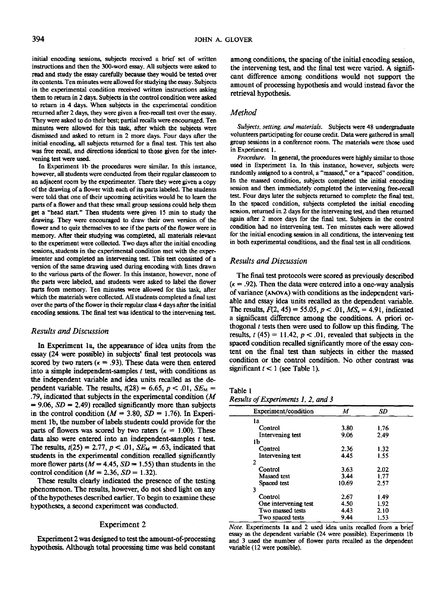initial encoding sessions, subjects received a brief set of written instructions and then the 300-word essay. All subjects were asked to read and study the essay carefully because they would be tested over its contents. Ten minutes were allowed for studying the essay. Subjects in the experimental condition received written instructions asking them to return in 2 days. Subjects in the control condition were asked to return in 4 days. When subjects in the experimental condition returned after 2 days, they were given a free-recall test over the essay. They were asked to do their best; partial recalls were encouraged. Ten minutes were allowed for this task, after which the subjects were dismissed and asked to return in 2 more days. Four days after the initial encoding, all subjects returned for a final test. This test also was free recall, and directions identical to those given for the intervening test were used.

In Experiment 1b the procedures were similar. In this instance, however, all students were conducted from their regular classroom to an adjacent room by the experimenter. There they were given a copy of the drawing of a flower with each of its parts labeled. The students were told that one of their upcoming activities would be to learn the parts of a flower and that these small group sessions could help them get a "head start." Then students were given 15 min to study the drawing. They were encouraged to draw their own version of the flower and to quiz themselves to see if the parts of the flower were in memory. After their studying was completed, all materials relevant to the experiment were collected. Two days after the initial encoding sessions, students in the experimental condition met with the experimenter and completed an intervening test. This test consisted of a version of the same drawing used during encoding with lines drawn to the various parts of the flower. In this instance, however, none of the parts were labeled, and students were asked to label the flower parts from memory. Ten minutes were allowed for this task, after which the materials were collected. All students completed a final test over the parts of the flower in their regular class 4 days after the initial encoding sessions. The final test was identical to the intervening test.

#### *Results and Discussion*

In Experiment la, the appearance of idea units from the essay (24 were possible) in subjects' final test protocols was scored by two raters  $(x = .93)$ . These data were then entered into a simple independent-samples  $t$  test, with conditions as the independent variable and idea units recalled as the dependent variable. The results,  $t(28) = 6.65$ ,  $p < .01$ ,  $SE_M =$ .79, indicated that subjects in the experimental condition *(M* = 9.06, *SD =* 2.49) recalled significantly more than subjects in the control condition ( $M = 3.80$ ,  $SD = 1.76$ ). In Experiment lb, the number of labels students could provide for the parts of flowers was scored by two raters ( $\kappa = 1.00$ ). These data also were entered into an independent-samples *t* test. The results,  $t(25) = 2.77$ ,  $p < .01$ ,  $SE_M = .63$ , indicated that students in the experimental condition recalled significantly more flower parts  $(M = 4.45, SD = 1.55)$  than students in the control condition ( $M = 2.36$ ,  $SD = 1.32$ ).

These results clearly indicated the presence of the testing phenomenon. The results, however, do not shed light on any of the hypotheses described earlier. To begin to examine these hypotheses, a second experiment was conducted.

#### Experiment 2

Experiment 2 was designed to test the amount-of-processing hypothesis. Although total processing time was held constant among conditions, the spacing of the initial encoding session, the intervening test, and the final test were varied. A significant difference among conditions would not support the amount of processing hypothesis and would instead favor the retrieval hypothesis.

#### *Method*

*Subjects, setting, and materials.* Subjects were 48 undergraduate volunteers participating for course credit. Data were gathered in small group sessions in a conference room. The materials were those used in Experiment 1.

*Procedure.* In general, the procedures were highly similar to those used in Experiment la. In this instance, however, subjects were randomly assigned to a control, a "massed," or a "spaced" condition. In the massed condition, subjects completed the initial encoding session and then immediately completed the intervening free-recall test. Four days later the subjects returned to complete the final test. In the spaced condition, subjects completed the initial encoding session, returned in 2 days for the intervening test, and then returned again after 2 more days for the final test. Subjects in the control condition had no intervening test. Ten minutes each were allowed for the initial encoding session in all conditions, the intervening test in both experimental conditions, and the final test in all conditions.

## *Results and Discussion*

The final test protocols were scored as previously described  $(x = .92)$ . Then the data were entered into a one-way analysis of variance (ANOVA) with conditions as the independent variable and essay idea units recalled as the dependent variable. The results,  $F(2, 45) = 55.05$ ,  $p < .01$ ,  $MS_e = 4.91$ , indicated a significant difference among the conditions. A priori orthogonal *t* tests then were used to follow up this finding. The results,  $t(45) = 11.42$ ,  $p < .01$ , revealed that subjects in the spaced condition recalled significantly more of the essay content on the final test than subjects in either the massed condition or the control condition. No other contrast was significant  $t < 1$  (see Table 1).

Table I

|  |  | Results of Experiments 1, 2, and 3 |  |  |  |
|--|--|------------------------------------|--|--|--|
|--|--|------------------------------------|--|--|--|

| Experiment/condition | M     | SD   |  |
|----------------------|-------|------|--|
| 1a                   |       |      |  |
| Control              | 3.80  | 1.76 |  |
| Intervening test     | 9.06  | 2.49 |  |
| 1b                   |       |      |  |
| Control              | 2.36  | 1.32 |  |
| Intervening test     | 4.45  | 1.55 |  |
| 2                    |       |      |  |
| Control              | 3.63  | 2.02 |  |
| Massed test          | 3.44  | 1.77 |  |
| Spaced test          | 10.69 | 2.57 |  |
| 3                    |       |      |  |
| Control              | 2.67  | 1.49 |  |
| One intervening test | 4.50  | 1.92 |  |
| Two massed tests     | 4.43  | 2.10 |  |
| Two spaced tests     | 9.44  | 1.53 |  |
|                      |       |      |  |

*Note.* Experiments la and 2 used idea units recalled from a brief essay as the dependent variable (24 were possible). Experiments lb and 3 used the number of flower parts recalled as the dependent variable (12 were possible).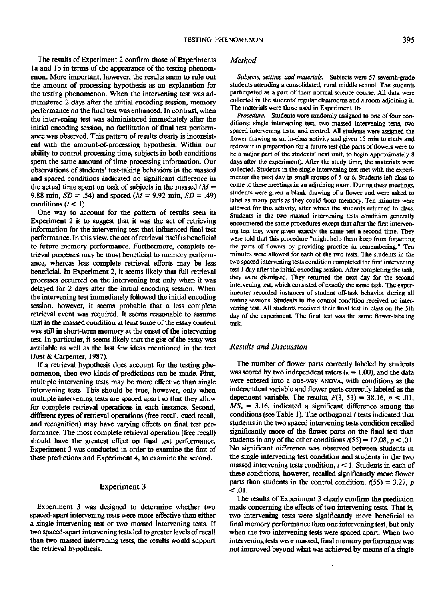The results of Experiment 2 confirm those of Experiments la and lb in terms of the appearance of the testing phenomenon. More important, however, the results seem to rule out the amount of processing hypothesis as an explanation for the testing phenomenon. When the intervening test was administered 2 days after the initial encoding session, memory performance on the final test was enhanced. In contrast, when the intervening test was administered immediately after the initial encoding session, no facilitation of final test performance was observed. This pattern of results clearly is inconsistent with the amount-of-processing hypothesis. Within our ability to control processing time, subjects in both conditions spent the same amount of time processing information. Our observations of students' test-taking behaviors in the massed and spaced conditions indicated no significant difference in the actual time spent on task of subjects in the massed *(M —* 9.88 min, *SD* = .54) and spaced *(M* = 9.92 min, *SD* = .49) conditions  $(t < 1)$ .

One way to account for the pattern of results seen in Experiment 2 is to suggest that it was the act of retrieving information for the intervening test that influenced final test performance. In this view, the act of retrieval itself is beneficial to future memory performance. Furthermore, complete retrieval processes may be most beneficial to memory performance, whereas less complete retrieval efforts may be less beneficial. In Experiment 2, it seems likely that full retrieval processes occurred on the intervening test only when it was delayed for 2 days after the initial encoding session. When the intervening test immediately followed the initial encoding session, however, it seems probable that a less complete retrieval event was required. It seems reasonable to assume that in the massed condition at least some of the essay content was still in short-term memory at the onset of the intervening test. In particular, it seems likely that the gist of the essay was available as well as the last few ideas mentioned in the text (Just & Carpenter, 1987).

If a retrieval hypothesis does account for the testing phenomenon, then two kinds of predictions can be made. First, multiple intervening tests may be more effective than single intervening tests. This should be true, however, only when multiple intervening tests are spaced apart so that they allow for complete retrieval operations in each instance. Second, different types of retrieval operations (free recall, cued recall, and recognition) may have varying effects on final test performance. The most complete retrieval operation (free recall) should have the greatest effect on final test performance. Experiment 3 was conducted in order to examine the first of these predictions and Experiment 4, to examine the second.

## Experiment 3

Experiment 3 was designed to determine whether two spaced-apart intervening tests were more effective than either a single intervening test or two massed intervening tests. If two spaced-apart intervening tests led to greater levels of recall than two massed intervening tests, the results would support the retrieval hypothesis.

## *Method*

*Subjects, setting, and materials.* Subjects were 57 seventh-grade students attending a consolidated, rural middle school. The students participated as a part of their normal science course. All data were collected in the students' regular classrooms and a room adjoining it. The materials were those used in Experiment lb.

*Procedure.* Students were randomly assigned to one of four conditions: single intervening test, two massed intervening tests, two spaced intervening tests, and control. All students were assigned the flower drawing as an in-class activity and given 15 min to study and redraw it in preparation for a future test (the parts of flowers were to be a major part of the students' next unit, to begin approximately 8 days after the experiment). After the study time, the materials were collected. Students in the single intervening test met with the experimenter the next day in small groups of 5 or 6. Students left class to come to these meetings in an adjoining room. During these meetings, students were given a blank drawing of a flower and were asked to label as many parts as they could from memory. Ten minutes were allowed for this activity, after which the students returned to class. Students in the two massed intervening tests condition generally encountered the same procedures except that after the first intervening test they were given exactly the same test a second time. They were told that this procedure "might help them keep from forgetting the parts of flowers by providing practice in remembering." Ten minutes were allowed for each of the two tests. The students in the two spaced intervening tests condition completed the first intervening test 1 day after the initial encoding session. After completing the task, they were dismissed. They returned the next day for the second intervening test, which consisted of exactly the same task. The experimenter recorded instances of student off-task behavior during all testing sessions. Students in the control condition received no intervening test. All students received their final test in class on the 5th day of the experiment. The final test was the same flower-labeling task.

## *Results and Discussion*

The number of flower parts correctly labeled by students was scored by two independent raters  $(k = 1.00)$ , and the data were entered into a one-way ANOVA, with conditions as the independent variable and flower parts correctly labeled as the dependent variable. The results,  $F(3, 53) = 38.16, p < .01$ ,  $MS_e = 3.16$ , indicated a significant difference among the conditions (see Table 1). The orthogonal *t* tests indicated that students in the two spaced intervening tests condition recalled significantly more of the flower parts on the final test than students in any of the other conditions  $t(55) = 12.08$ ,  $p < .01$ . No significant difference was observed between students in the single intervening test condition and students in the two massed intervening tests condition, *t <* 1. Students in each of these conditions, however, recalled significantly more flower parts than students in the control condition,  $t(55) = 3.27$ , *p*  $< 0.01$ .

The results of Experiment 3 clearly confirm the prediction made concerning the effects of two intervening tests. That is, two intervening tests were significantly more beneficial to final memory performance than one intervening test, but only when the two intervening tests were spaced apart. When two intervening tests were massed, final memory performance was not improved beyond what was achieved by means of a single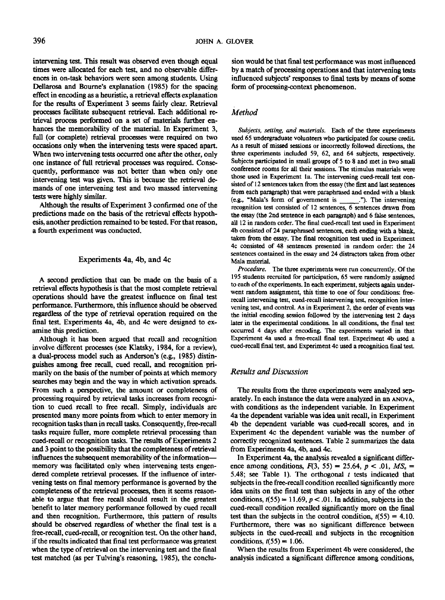intervening test. This result was observed even though equal times were allocated for each test, and no observable differences in on-task behaviors were seen among students. Using Oellarosa and Bourne's explanation (1985) for the spacing effect in encoding as a heuristic, a retrieval effects explanation for the results of Experiment 3 seems fairly clear. Retrieval processes facilitate subsequent retrieval. Each additional retrieval process performed on a set of materials further enhances the memorability of the material. In Experiment 3, full (or complete) retrieval processes were required on two occasions only when the intervening tests were spaced apart. When two intervening tests occurred one after the other, only one instance of full retrieval processes was required. Consequently, performance was not better than when only one intervening test was given. This is because the retrieval demands of one intervening test and two massed intervening tests were highly similar.

Although the results of Experiment 3 confirmed one of the predictions made on the basis of the retrieval effects hypothesis, another prediction remained to be tested. For that reason, a fourth experiment was conducted.

#### Experiments 4a, 4b, and 4c

A second prediction that can be made on the basis of a retrieval effects hypothesis is that the most complete retrieval operations should have the greatest influence on final test performance. Furthermore, this influence should be observed regardless of the type of retrieval operation required on the final test. Experiments 4a, 4b, and 4c were designed to examine this prediction.

Although it has been argued that recall and recognition involve different processes (see Klatsky, 1984, for a review), a dual-process model such as Anderson's (e.g., 1985) distinguishes among free recall, cued recall, and recognition primarily on the basis of the number of points at which memory searches may begin and the way in which activation spreads. From such a perspective, the amount or completeness of processing required by retrieval tasks increases from recognition to cued recall to free recall. Simply, individuals are presented many more points from which to enter memory in recognition tasks than in recall tasks. Consequently, free-recall tasks require fuller, more complete retrieval processing than cued-recall or recognition tasks. The results of Experiments 2 and 3 point to the possibility that the completeness of retrieval influences the subsequent memorability of the information memory was facilitated only when intervening tests engendered complete retrieval processes. If the influence of intervening tests on final memory performance is governed by the completeness of the retrieval processes, then it seems reasonable to argue that free recall should result in the greatest benefit to later memory performance followed by cued recall and then recognition. Furthermore, this pattern of results should be observed regardless of whether the final test is a free-recall, cued-recall, or recognition test. On the other hand, if the results indicated that final test performance was greatest when the type of retrieval on the intervening test and the final test matched (as per Tulving's reasoning, 1985), the conclusion would be that final test performance was most influenced by a match of processing operations and that intervening tests influenced subjects' responses to final tests by means of some form of processing-context phenomenon.

#### *Method*

*Subjects, setting, and materials.* Each of the three experiments used 65 undergraduate volunteers who participated for course credit. As a result of missed sessions or incorrectly followed directions, the three experiments included 59, 62, and 64 subjects, respectively. Subjects participated in small groups of 5 to 8 and met in two small conference rooms for all their sessions. The stimulus materials were those used in Experiment la. The intervening cued-recall test consisted of 12 sentences taken from the essay (the first and last sentences from each paragraph) that were paraphrased and ended with a blank (e.g., "Mala's form of government is  $\_\_\_\$ ."). The intervening recognition test consisted of 12 sentences, 6 sentences drawn from the essay (the 2nd sentence in each paragraph) and 6 false sentences, all 12 in random order. The final cued-recall test used in Experiment 4b consisted of 24 paraphrased sentences, each ending with a blank, taken from the essay. The final recognition test used in Experiment 4c consisted of 48 sentences presented in random order: the 24 sentences contained in the essay and 24 distractors taken from other Mala material.

*Procedure.* The three experiments were run concurrently. Of the 195 students recruited for participation, 65 were randomly assigned to each of the experiments. In each experiment, subjects again underwent random assignment, this time to one of four conditions: freerecall intervening test, cued-recall intervening test, recognition intervening test, and control. As in Experiment 2, the order of events was the initial encoding session followed by the intervening test 2 days later in the experimental conditions. In all conditions, the final test occurred 4 days after encoding. The experiments varied in that Experiment 4a used a free-recall final test. Experiment 4b used a cued-recall final test, and Experiment 4c used a recognition final test.

# *Results and Discussion*

The results from the three experiments were analyzed separately. In each instance the data were analyzed in an ANOVA, with conditions as the independent variable. In Experiment 4a the dependent variable was idea unit recall, in Experiment 4b the dependent variable was cued-recall scores, and in Experiment 4c the dependent variable was the number of correctly recognized sentences. Table 2 summarizes the data from Experiments 4a, 4b, and 4c.

In Experiment 4a, the analysis revealed a significant difference among conditions,  $F(3, 55) = 25.64$ ,  $p < .01$ ,  $MS_e =$ 5.48; see Table 1). The orthogonal *t* tests indicated that subjects in the free-recall condition recalled significantly more idea units on the final test than subjects in any of the other conditions,  $t(55) = 11.69$ ,  $p < .01$ . In addition, subjects in the cued-recall condition recalled significantly more on the final test than the subjects in the control condition,  $t(55) = 4.10$ . Furthermore, there was no significant difference between subjects in the cued-recall and subjects in the recognition conditions,  $t(55) = 1.06$ .

When the results from Experiment 4b were considered, the analysis indicated a significant difference among conditions,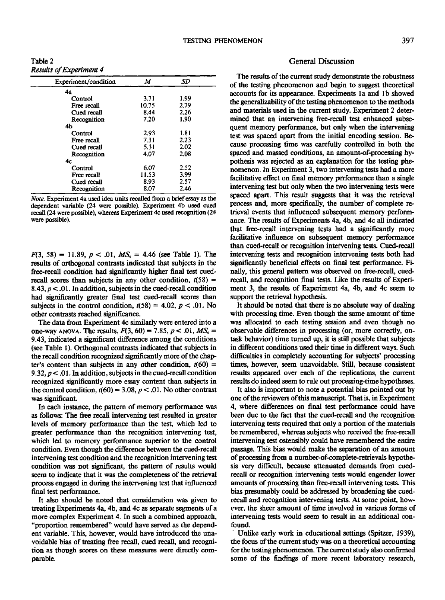Table 2 *Results of Experiment 4*

| Experiment/condition | M     | SD   |  |
|----------------------|-------|------|--|
| 4а                   |       |      |  |
| Control              | 3.71  | 1.99 |  |
| Free recall          | 10.75 | 2.79 |  |
| Cued recall          | 8.44  | 2.26 |  |
| Recognition          | 7.20  | 1.90 |  |
| 4 <sub>b</sub>       |       |      |  |
| Control              | 2.93  | 1.81 |  |
| Free recall          | 7.31  | 2.23 |  |
| Cued recall          | 5.31  | 2.02 |  |
| Recognition          | 4.07  | 2.08 |  |
| 4c                   |       |      |  |
| Control              | 6.07  | 2.52 |  |
| Free recall          | 11.53 | 3.99 |  |
| Cued recall          | 8.93  | 2.57 |  |
|                      | 8.07  | 2.46 |  |
| Recognition          |       |      |  |

*Note.* Experiment 4a used idea units recalled from a brief essay as the dependent variable (24 were possible). Experiment 4b used cued recall (24 were possible), whereas Experiment 4c used recognition (24 were possible).

 $F(3, 58) = 11.89, p < .01, MS<sub>e</sub> = 4.46$  (see Table 1). The results of orthogonal contrasts indicated that subjects in the free-recall condition had significantly higher final test cuedrecall scores than subjects in any other condition,  $t(58) =$ 8.43, *p <* .01. In addition, subjects in the cued-recall condition had significantly greater final test cued-recall scores than subjects in the control condition,  $t(58) = 4.02$ ,  $p < .01$ . No other contrasts reached significance.

The data from Experiment 4c similarly were entered into a one-way ANOVA. The results,  $F(3, 60) = 7.85, p < .01, MS_e =$ 9.43, indicated a significant difference among the conditions (see Table 1). Orthogonal contrasts indicated that subjects in the recall condition recognized significantly more of the chapter's content than subjects in any other condition, *t(60) =* 9.32, *p <* .01. In addition, subjects in the cued-recall condition recognized significantly more essay content than subjects in the control condition,  $t(60) = 3.08$ ,  $p < .01$ . No other contrast was significant.

In each instance, the pattern of memory performance was as follows: The free recall intervening test resulted in greater levels of memory performance than the test, which led to greater performance than the recognition intervening test, which led to memory performance superior to the control condition. Even though the difference between the cued-recall intervening test condition and the recognition intervening test condition was not significant, the pattern of results would seem to indicate that it was the completeness of the retrieval process engaged in during the intervening test that influenced final test performance.

It also should be noted that consideration was given to treating Experiments 4a, 4b, and 4c as separate segments of a more complex Experiment 4. In such a combined approach, "proportion remembered" would have served as the dependent variable. This, however, would have introduced the unavoidable bias of treating free recall, cued recall, and recognition as though scores on these measures were directly comparable.

## General Discussion

The results of the current study demonstrate the robustness of the testing phenomenon and begin to suggest theoretical accounts for its appearance. Experiments la and lb showed the generalizability of the testing phenomenon to the methods and materials used in the current study. Experiment 2 determined that an intervening free-recall test enhanced subsequent memory performance, but only when the intervening test was spaced apart from the initial encoding session. Because processing time was carefully controlled in both the spaced and massed conditions, an amount-of-processing hypothesis was rejected as an explanation for the testing phenomenon. In Experiment 3, two intervening tests had a more facilitative effect on final memory performance than a single intervening test but only when the two intervening tests were spaced apart. This result suggests that it was the retrieval process and, more specifically, the number of complete retrieval events that influenced subsequent memory performance. The results of Experiments 4a, 4b, and 4c all indicated that free-recall intervening tests had a significantly more facilitative influence on subsequent memory performance than cued-recall or recognition intervening tests. Cued-recall intervening tests and recognition intervening tests both had significantly beneficial effects on final test performance. Finally, this general pattern was observed on free-recall, cuedrecall, and recognition final tests. Like the results of Experiment 3, the results of Experiment 4a, 4b, and 4c seem to support the retrieval hypothesis.

It should be noted that there is no absolute way of dealing with processing time. Even though the same amount of time was allocated to each testing session and even though no observable differences in processing (or, more correctly, ontask behavior) time turned up, it is still possible that subjects in different conditions used their time in different ways. Such difficulties in completely accounting for subjects' processing times, however, seem unavoidable. Still, because consistent results appeared over each of the replications, the current results do indeed seem to rule out processing-time hypotheses.

It also is important to note a potential bias pointed out by one of the reviewers of this manuscript. That is, in Experiment 4, where differences on final test performance could have been due to the fact that the cued-recall and the recognition intervening tests required that only a portion of the materials be remembered, whereas subjects who received the free-recall intervening test ostensibly could have remembered the entire passage. This bias would make the separation of an amount of processing from a number-of-complete-retrievals hypothesis very difficult, because attenuated demands from cuedrecall or recognition intervening tests would engender lower amounts of processing than free-recall intervening tests. This bias presumably could be addressed by broadening the cuedrecall and recognition intervening tests. At some point, however, the sheer amount of time involved in various forms of intervening tests would seem to result in an additional confound.

Unlike early work in educational settings (Spitzer, 1939), the focus of the current study was on a theoretical accounting for the testing phenomenon. The current study also confirmed some of the findings of more recent laboratory research,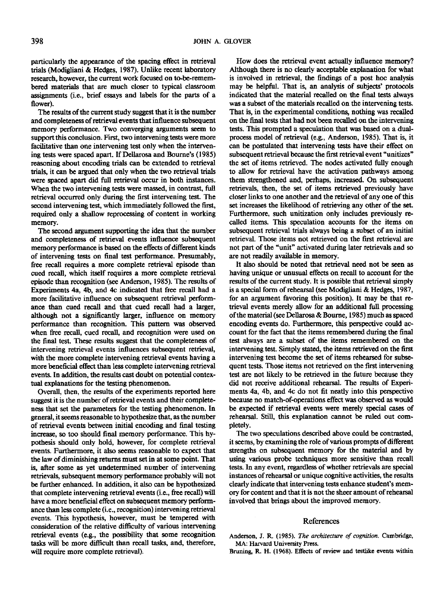particularly the appearance of the spacing effect in retrieval trials (Modigliani & Hedges, 1987). Unlike recent laboratory research, however, the current work focused on to-be-remembered materials that are much closer to typical classroom assignments (i.e., brief essays and labels for the parts of a flower).

The results of the current study suggest that it is the number and completeness of retrieval events that influence subsequent memory performance. Two converging arguments seem to support this conclusion. First, two intervening tests were more facilitative than one intervening test only when the intervening tests were spaced apart. If Dellarosa and Bourne's (1985) reasoning about encoding trials can be extended to retrieval trials, it can be argued that only when the two retrieval trials were spaced apart did full retrieval occur in both instances. When the two intervening tests were massed, in contrast, full retrieval occurred only during the first intervening test. The second intervening test, which immediately followed the first, required only a shallow reprocessing of content in working memory.

The second argument supporting the idea that the number and completeness of retrieval events influence subsequent memory performance is based on the effects of different kinds of intervening tests on final test performance. Presumably, free recall requires a more complete retrieval episode than cued recall, which itself requires a more complete retrieval episode than recognition (see Anderson, 1985). The results of Experiments 4a, 4b, and 4c indicated that free recall had a more facilitative influence on subsequent retrieval performance than cued recall and that cued recall had a larger, although not a significantly larger, influence on memory performance than recognition. This pattern was observed when free recall, cued recall, and recognition were used on the final test. These results suggest that the completeness of intervening retrieval events influences subsequent retrieval, with the more complete intervening retrieval events having a more beneficial effect than less complete intervening retrieval events. In addition, the results cast doubt on potential contextual explanations for the testing phenomenon.

Overall, then, the results of the experiments reported here suggest it is the number of retrieval events and their completeness that set the parameters for the testing phenomenon. In general, it seems reasonable to hypothesize that, as the number of retrieval events between initial encoding and final testing increase, so too should final memory performance. This hypothesis should only hold, however, for complete retrieval events. Furthermore, it also seems reasonable to expect that the law of diminishing returns must set in at some point. That is, after some as yet undetermined number of intervening retrievals, subsequent memory performance probably will not be further enhanced. In addition, it also can be hypothesized that complete intervening retrieval events (i.e., free recall) will have a more beneficial effect on subsequent memory performance than less complete (i.e., recognition) intervening retrieval events. This hypothesis, however, must be tempered with consideration of the relative difficulty of various intervening retrieval events (e.g., the possibility that some recognition tasks will be more difficult than recall tasks, and, therefore, will require more complete retrieval).

How does the retrieval event actually influence memory? Although there is no clearly acceptable explanation for what is involved in retrieval, the findings of a post hoc analysis may be helpful. That is, an analysis of subjects' protocols indicated that the material recalled on the final tests always was a subset of the materials recalled on the intervening tests. That is, in the experimental conditions, nothing was recalled on the final tests that had not been recalled on the intervening tests. This prompted a speculation that was based on a dualprocess model of retrieval (e.g., Anderson, 1985). That is, it can be postulated that intervening tests have their effect on subsequent retrieval because the first retrieval event "unitizes" the set of items retrieved. The nodes activated fully enough to allow for retrieval have the activation pathways among them strengthened and, perhaps, increased. On subsequent retrievals, then, the set of items retrieved previously have closer links to one another and the retrieval of any one of this set increases the likelihood of retrieving any other of the set. Furthermore, such unitization only includes previously recalled items. This speculation accounts for the items on subsequent retrieval trials always being a subset of an initial retrieval. Those items not retrieved on the first retrieval are not part of the "unit" activated during later retrievals and so are not readily available in memory.

It also should be noted that retrieval need not be seen as having unique or unusual effects on recall to account for the results of the current study. It is possible that retrieval simply is a special form of rehearsal (see Modigliani & Hedges, 1987, for an argument favoring this position). It may be that retrieval events merely allow for an additional full processing of the material (see Dellarosa & Bourne, 1985) much as spaced encoding events do. Furthermore, this perspective could account for the fact that the items remembered during the final test always are a subset of the items remembered on the intervening test. Simply stated, the items retrieved on the first intervening test become the set of items rehearsed for subsequent tests. Those items not retrieved on the first intervening test are not likely to be retrieved in the future because they did not receive additional rehearsal. The results of Experiments 4a, 4b, and 4c do not fit neatly into this perspective because no match-of-operations effect was observed as would be expected if retrieval events were merely special cases of rehearsal. Still, this explanation cannot be ruled out completely.

The two speculations described above could be contrasted, it seems, by examining the role of various prompts of different strengths on subsequent memory for the material and by using various probe techniques more sensitive than recall tests. In any event, regardless of whether retrievals are special instances of rehearsal or unique cognitive activities, the results clearly indicate that intervening tests enhance student's memory for content and that it is not the sheer amount of rehearsal involved that brings about the improved memory.

#### References

Anderson, J. R. (1985). *The architecture of cognition.* Cambridge, MA: Harvard University Press.

Bruning, R. H. (1968). Effects of review and testlike events within